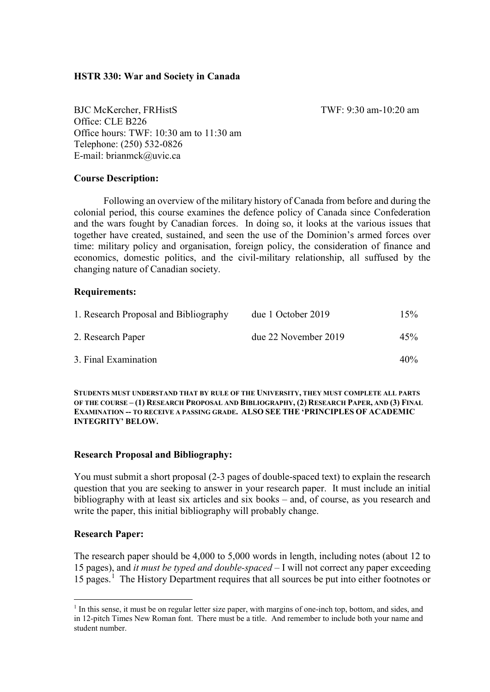## **HSTR 330: War and Society in Canada**

BJC McKercher, FRHistS TWF: 9:30 am-10:20 am Office: CLE B226 Office hours: TWF: 10:30 am to 11:30 am Telephone: (250) 532-0826 E-mail: brianmck@uvic.ca

# **Course Description:**

Following an overview of the military history of Canada from before and during the colonial period, this course examines the defence policy of Canada since Confederation and the wars fought by Canadian forces. In doing so, it looks at the various issues that together have created, sustained, and seen the use of the Dominion's armed forces over time: military policy and organisation, foreign policy, the consideration of finance and economics, domestic politics, and the civil-military relationship, all suffused by the changing nature of Canadian society.

## **Requirements:**

| 1. Research Proposal and Bibliography | due 1 October 2019   | 15% |
|---------------------------------------|----------------------|-----|
| 2. Research Paper                     | due 22 November 2019 | 45% |
| 3. Final Examination                  |                      | 40% |

**STUDENTS MUST UNDERSTAND THAT BY RULE OF THE UNIVERSITY, THEY MUST COMPLETE ALL PARTS OF THE COURSE – (1) RESEARCH PROPOSAL AND BIBLIOGRAPHY, (2) RESEARCH PAPER, AND (3) FINAL EXAMINATION -- TO RECEIVE A PASSING GRADE. ALSO SEE THE 'PRINCIPLES OF ACADEMIC INTEGRITY' BELOW.**

# **Research Proposal and Bibliography:**

You must submit a short proposal (2-3 pages of double-spaced text) to explain the research question that you are seeking to answer in your research paper. It must include an initial bibliography with at least six articles and six books – and, of course, as you research and write the paper, this initial bibliography will probably change.

# **Research Paper:**

The research paper should be 4,000 to 5,000 words in length, including notes (about 12 to 15 pages), and *it must be typed and double-spaced* – I will not correct any paper exceeding [1](#page-0-0)5 pages.<sup>1</sup> The History Department requires that all sources be put into either footnotes or

<span id="page-0-0"></span> <sup>1</sup> In this sense, it must be on regular letter size paper, with margins of one-inch top, bottom, and sides, and in 12-pitch Times New Roman font. There must be a title. And remember to include both your name and student number.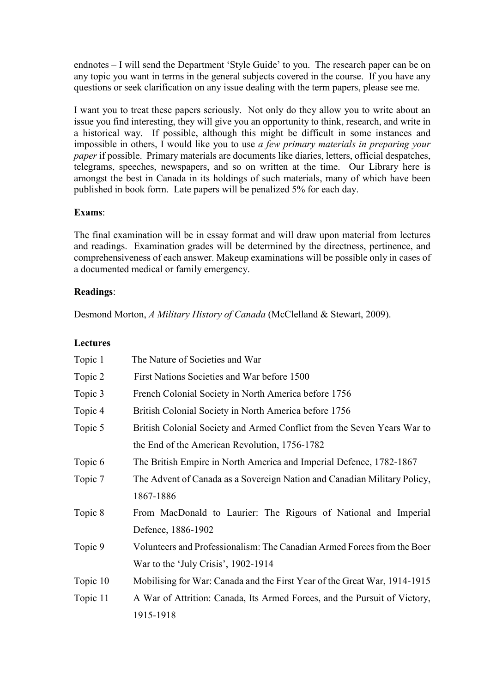endnotes – I will send the Department 'Style Guide' to you. The research paper can be on any topic you want in terms in the general subjects covered in the course. If you have any questions or seek clarification on any issue dealing with the term papers, please see me.

I want you to treat these papers seriously. Not only do they allow you to write about an issue you find interesting, they will give you an opportunity to think, research, and write in a historical way. If possible, although this might be difficult in some instances and impossible in others, I would like you to use *a few primary materials in preparing your paper* if possible. Primary materials are documents like diaries, letters, official despatches, telegrams, speeches, newspapers, and so on written at the time. Our Library here is amongst the best in Canada in its holdings of such materials, many of which have been published in book form. Late papers will be penalized 5% for each day.

# **Exams**:

The final examination will be in essay format and will draw upon material from lectures and readings. Examination grades will be determined by the directness, pertinence, and comprehensiveness of each answer. Makeup examinations will be possible only in cases of a documented medical or family emergency.

# **Readings**:

Desmond Morton, *A Military History of Canada* (McClelland & Stewart, 2009).

# **Lectures**

| Topic 1  | The Nature of Societies and War                                           |  |  |
|----------|---------------------------------------------------------------------------|--|--|
| Topic 2  | First Nations Societies and War before 1500                               |  |  |
| Topic 3  | French Colonial Society in North America before 1756                      |  |  |
| Topic 4  | British Colonial Society in North America before 1756                     |  |  |
| Topic 5  | British Colonial Society and Armed Conflict from the Seven Years War to   |  |  |
|          | the End of the American Revolution, 1756-1782                             |  |  |
| Topic 6  | The British Empire in North America and Imperial Defence, 1782-1867       |  |  |
| Topic 7  | The Advent of Canada as a Sovereign Nation and Canadian Military Policy,  |  |  |
|          | 1867-1886                                                                 |  |  |
| Topic 8  | From MacDonald to Laurier: The Rigours of National and Imperial           |  |  |
|          | Defence, 1886-1902                                                        |  |  |
| Topic 9  | Volunteers and Professionalism: The Canadian Armed Forces from the Boer   |  |  |
|          | War to the 'July Crisis', 1902-1914                                       |  |  |
| Topic 10 | Mobilising for War: Canada and the First Year of the Great War, 1914-1915 |  |  |
| Topic 11 | A War of Attrition: Canada, Its Armed Forces, and the Pursuit of Victory, |  |  |
|          | 1915-1918                                                                 |  |  |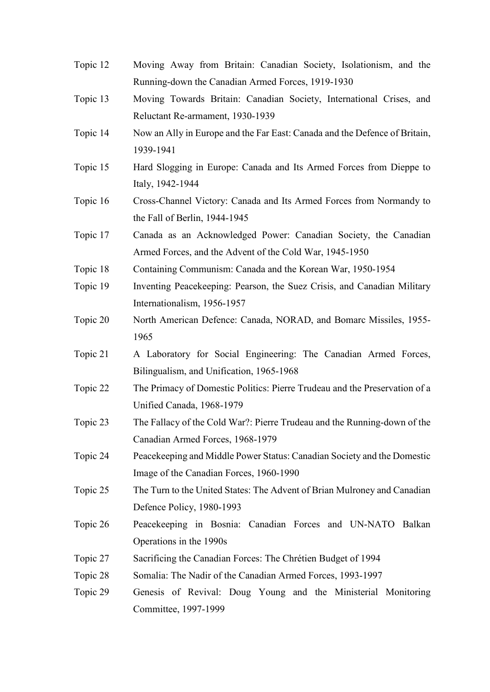| Topic 12 | Moving Away from Britain: Canadian Society, Isolationism, and the          |  |  |
|----------|----------------------------------------------------------------------------|--|--|
|          | Running-down the Canadian Armed Forces, 1919-1930                          |  |  |
| Topic 13 | Moving Towards Britain: Canadian Society, International Crises, and        |  |  |
|          | Reluctant Re-armament, 1930-1939                                           |  |  |
| Topic 14 | Now an Ally in Europe and the Far East: Canada and the Defence of Britain, |  |  |
|          | 1939-1941                                                                  |  |  |
| Topic 15 | Hard Slogging in Europe: Canada and Its Armed Forces from Dieppe to        |  |  |
|          | Italy, 1942-1944                                                           |  |  |
| Topic 16 | Cross-Channel Victory: Canada and Its Armed Forces from Normandy to        |  |  |
|          | the Fall of Berlin, 1944-1945                                              |  |  |
| Topic 17 | Canada as an Acknowledged Power: Canadian Society, the Canadian            |  |  |
|          | Armed Forces, and the Advent of the Cold War, 1945-1950                    |  |  |
| Topic 18 | Containing Communism: Canada and the Korean War, 1950-1954                 |  |  |
| Topic 19 | Inventing Peacekeeping: Pearson, the Suez Crisis, and Canadian Military    |  |  |
|          | Internationalism, 1956-1957                                                |  |  |
| Topic 20 | North American Defence: Canada, NORAD, and Bomarc Missiles, 1955-          |  |  |
|          | 1965                                                                       |  |  |
| Topic 21 | A Laboratory for Social Engineering: The Canadian Armed Forces,            |  |  |
|          | Bilingualism, and Unification, 1965-1968                                   |  |  |
| Topic 22 | The Primacy of Domestic Politics: Pierre Trudeau and the Preservation of a |  |  |
|          | Unified Canada, 1968-1979                                                  |  |  |
| Topic 23 | The Fallacy of the Cold War?: Pierre Trudeau and the Running-down of the   |  |  |
|          | Canadian Armed Forces, 1968-1979                                           |  |  |
| Topic 24 | Peacekeeping and Middle Power Status: Canadian Society and the Domestic    |  |  |
|          | Image of the Canadian Forces, 1960-1990                                    |  |  |
| Topic 25 | The Turn to the United States: The Advent of Brian Mulroney and Canadian   |  |  |
|          | Defence Policy, 1980-1993                                                  |  |  |
| Topic 26 | Peacekeeping in Bosnia: Canadian Forces and UN-NATO Balkan                 |  |  |
|          | Operations in the 1990s                                                    |  |  |
| Topic 27 | Sacrificing the Canadian Forces: The Chrétien Budget of 1994               |  |  |
| Topic 28 | Somalia: The Nadir of the Canadian Armed Forces, 1993-1997                 |  |  |
| Topic 29 | Genesis of Revival: Doug Young and the Ministerial Monitoring              |  |  |
|          | Committee, 1997-1999                                                       |  |  |
|          |                                                                            |  |  |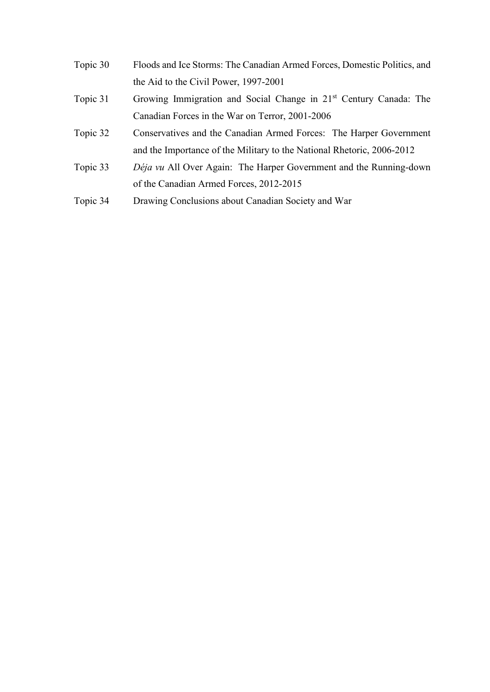| Topic 30 | Floods and Ice Storms: The Canadian Armed Forces, Domestic Politics, and      |  |  |
|----------|-------------------------------------------------------------------------------|--|--|
|          | the Aid to the Civil Power, 1997-2001                                         |  |  |
| Topic 31 | Growing Immigration and Social Change in 21 <sup>st</sup> Century Canada: The |  |  |
|          | Canadian Forces in the War on Terror, 2001-2006                               |  |  |
| Topic 32 | Conservatives and the Canadian Armed Forces: The Harper Government            |  |  |
|          | and the Importance of the Military to the National Rhetoric, 2006-2012        |  |  |
| Topic 33 | <i>Déja vu</i> All Over Again: The Harper Government and the Running-down     |  |  |
|          | of the Canadian Armed Forces, 2012-2015                                       |  |  |
| Topic 34 | Drawing Conclusions about Canadian Society and War                            |  |  |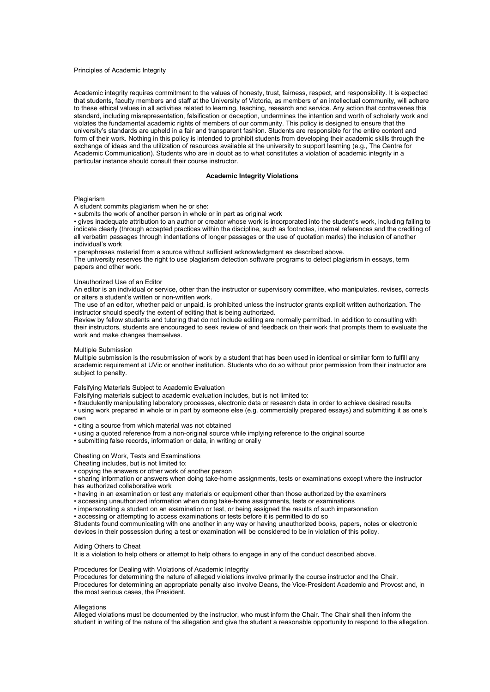### Principles of Academic Integrity

Academic integrity requires commitment to the values of honesty, trust, fairness, respect, and responsibility. It is expected that students, faculty members and staff at the University of Victoria, as members of an intellectual community, will adhere to these ethical values in all activities related to learning, teaching, research and service. Any action that contravenes this standard, including misrepresentation, falsification or deception, undermines the intention and worth of scholarly work and violates the fundamental academic rights of members of our community. This policy is designed to ensure that the university's standards are upheld in a fair and transparent fashion. Students are responsible for the entire content and form of their work. Nothing in this policy is intended to prohibit students from developing their academic skills through the exchange of ideas and the utilization of resources available at the university to support learning (e.g., The Centre for Academic Communication). Students who are in doubt as to what constitutes a violation of academic integrity in a particular instance should consult their course instructor.

## **Academic Integrity Violations**

### Plagiarism

A student commits plagiarism when he or she:

• submits the work of another person in whole or in part as original work

• gives inadequate attribution to an author or creator whose work is incorporated into the student's work, including failing to indicate clearly (through accepted practices within the discipline, such as footnotes, internal references and the crediting of all verbatim passages through indentations of longer passages or the use of quotation marks) the inclusion of another individual's work

• paraphrases material from a source without sufficient acknowledgment as described above.

The university reserves the right to use plagiarism detection software programs to detect plagiarism in essays, term papers and other work.

## Unauthorized Use of an Editor

An editor is an individual or service, other than the instructor or supervisory committee, who manipulates, revises, corrects or alters a student's written or non-written work.

The use of an editor, whether paid or unpaid, is prohibited unless the instructor grants explicit written authorization. The instructor should specify the extent of editing that is being authorized.

Review by fellow students and tutoring that do not include editing are normally permitted. In addition to consulting with their instructors, students are encouraged to seek review of and feedback on their work that prompts them to evaluate the work and make changes themselves.

#### Multiple Submission

Multiple submission is the resubmission of work by a student that has been used in identical or similar form to fulfill any academic requirement at UVic or another institution. Students who do so without prior permission from their instructor are subject to penalty.

Falsifying Materials Subject to Academic Evaluation

Falsifying materials subject to academic evaluation includes, but is not limited to:

• fraudulently manipulating laboratory processes, electronic data or research data in order to achieve desired results • using work prepared in whole or in part by someone else (e.g. commercially prepared essays) and submitting it as one's own

• citing a source from which material was not obtained

- using a quoted reference from a non-original source while implying reference to the original source
- submitting false records, information or data, in writing or orally

### Cheating on Work, Tests and Examinations

Cheating includes, but is not limited to:

• copying the answers or other work of another person

• sharing information or answers when doing take-home assignments, tests or examinations except where the instructor has authorized collaborative work

- having in an examination or test any materials or equipment other than those authorized by the examiners
- accessing unauthorized information when doing take-home assignments, tests or examinations

• impersonating a student on an examination or test, or being assigned the results of such impersonation

• accessing or attempting to access examinations or tests before it is permitted to do so

Students found communicating with one another in any way or having unauthorized books, papers, notes or electronic devices in their possession during a test or examination will be considered to be in violation of this policy.

### Aiding Others to Cheat

It is a violation to help others or attempt to help others to engage in any of the conduct described above.

Procedures for Dealing with Violations of Academic Integrity

Procedures for determining the nature of alleged violations involve primarily the course instructor and the Chair. Procedures for determining an appropriate penalty also involve Deans, the Vice-President Academic and Provost and, in the most serious cases, the President.

## **Allegations**

Alleged violations must be documented by the instructor, who must inform the Chair. The Chair shall then inform the student in writing of the nature of the allegation and give the student a reasonable opportunity to respond to the allegation.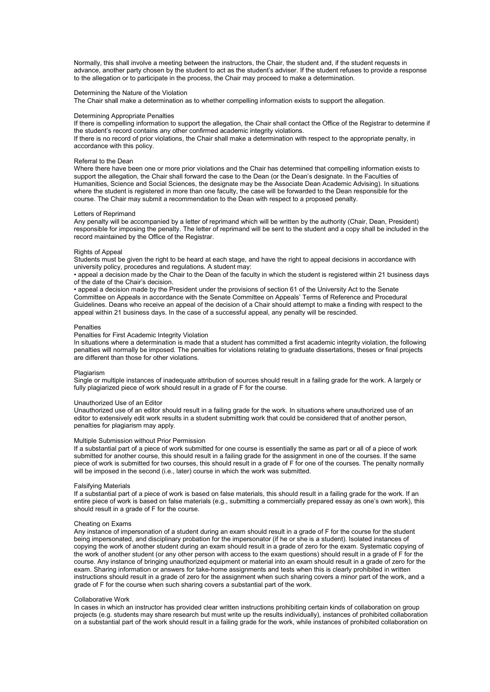Normally, this shall involve a meeting between the instructors, the Chair, the student and, if the student requests in advance, another party chosen by the student to act as the student's adviser. If the student refuses to provide a response to the allegation or to participate in the process, the Chair may proceed to make a determination.

## Determining the Nature of the Violation

The Chair shall make a determination as to whether compelling information exists to support the allegation.

## Determining Appropriate Penalties

If there is compelling information to support the allegation, the Chair shall contact the Office of the Registrar to determine if the student's record contains any other confirmed academic integrity violations.

If there is no record of prior violations, the Chair shall make a determination with respect to the appropriate penalty, in accordance with this policy.

### Referral to the Dean

Where there have been one or more prior violations and the Chair has determined that compelling information exists to support the allegation, the Chair shall forward the case to the Dean (or the Dean's designate. In the Faculties of Humanities, Science and Social Sciences, the designate may be the Associate Dean Academic Advising). In situations where the student is registered in more than one faculty, the case will be forwarded to the Dean responsible for the course. The Chair may submit a recommendation to the Dean with respect to a proposed penalty.

#### Letters of Reprimand

Any penalty will be accompanied by a letter of reprimand which will be written by the authority (Chair, Dean, President) responsible for imposing the penalty. The letter of reprimand will be sent to the student and a copy shall be included in the record maintained by the Office of the Registrar.

## Rights of Appeal

Students must be given the right to be heard at each stage, and have the right to appeal decisions in accordance with university policy, procedures and regulations. A student may:

• appeal a decision made by the Chair to the Dean of the faculty in which the student is registered within 21 business days of the date of the Chair's decision.

• appeal a decision made by the President under the provisions of section 61 of the University Act to the Senate Committee on Appeals in accordance with the Senate Committee on Appeals' Terms of Reference and Procedural Guidelines. Deans who receive an appeal of the decision of a Chair should attempt to make a finding with respect to the appeal within 21 business days. In the case of a successful appeal, any penalty will be rescinded.

## **Penalties**

#### Penalties for First Academic Integrity Violation

In situations where a determination is made that a student has committed a first academic integrity violation, the following penalties will normally be imposed. The penalties for violations relating to graduate dissertations, theses or final projects are different than those for other violations.

### Plagiarism

Single or multiple instances of inadequate attribution of sources should result in a failing grade for the work. A largely or fully plagiarized piece of work should result in a grade of F for the course.

#### Unauthorized Use of an Editor

Unauthorized use of an editor should result in a failing grade for the work. In situations where unauthorized use of an editor to extensively edit work results in a student submitting work that could be considered that of another person, penalties for plagiarism may apply.

#### Multiple Submission without Prior Permission

If a substantial part of a piece of work submitted for one course is essentially the same as part or all of a piece of work submitted for another course, this should result in a failing grade for the assignment in one of the courses. If the same piece of work is submitted for two courses, this should result in a grade of F for one of the courses. The penalty normally will be imposed in the second (i.e., later) course in which the work was submitted.

#### Falsifying Materials

If a substantial part of a piece of work is based on false materials, this should result in a failing grade for the work. If an entire piece of work is based on false materials (e.g., submitting a commercially prepared essay as one's own work), this should result in a grade of F for the course.

### Cheating on Exams

Any instance of impersonation of a student during an exam should result in a grade of F for the course for the student being impersonated, and disciplinary probation for the impersonator (if he or she is a student). Isolated instances of copying the work of another student during an exam should result in a grade of zero for the exam. Systematic copying of the work of another student (or any other person with access to the exam questions) should result in a grade of F for the course. Any instance of bringing unauthorized equipment or material into an exam should result in a grade of zero for the exam. Sharing information or answers for take-home assignments and tests when this is clearly prohibited in written instructions should result in a grade of zero for the assignment when such sharing covers a minor part of the work, and a grade of F for the course when such sharing covers a substantial part of the work.

#### Collaborative Work

In cases in which an instructor has provided clear written instructions prohibiting certain kinds of collaboration on group projects (e.g. students may share research but must write up the results individually), instances of prohibited collaboration on a substantial part of the work should result in a failing grade for the work, while instances of prohibited collaboration on